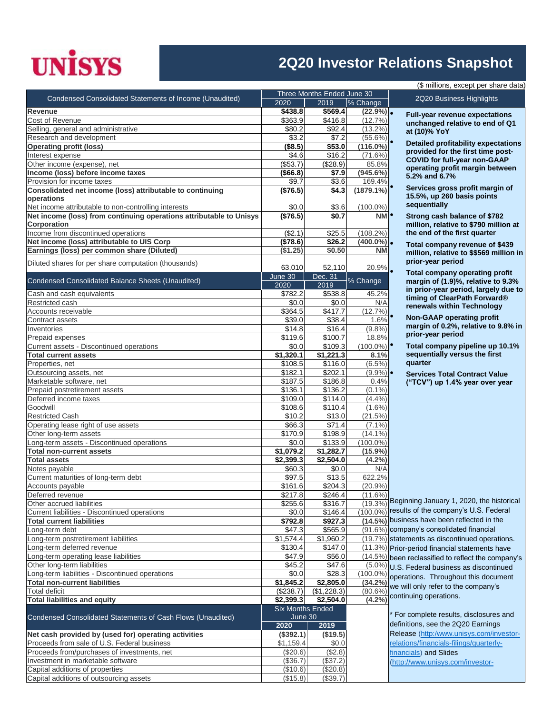# **UNISYS**

#### **2Q20 Investor Relations Snapshot**

|                                                                     |                         |                            |                 | (\$ millions, except per sn                     |
|---------------------------------------------------------------------|-------------------------|----------------------------|-----------------|-------------------------------------------------|
| Condensed Consolidated Statements of Income (Unaudited)             |                         | Three Months Ended June 30 |                 | 2Q20 Business Highlights                        |
|                                                                     | 2020                    | 2019                       | % Change        |                                                 |
| Revenue                                                             | \$438.8                 | \$569.4                    | $(22.9\%)$ .    | <b>Full-year revenue expectat</b>               |
| Cost of Revenue                                                     | \$363.9                 | \$416.8                    | (12.7%          | unchanged relative to end                       |
| Selling, general and administrative                                 | \$80.2                  | \$92.4                     | $(13.2\%)$      | at (10)% YoY                                    |
| Research and development                                            | \$3.2                   | \$7.2                      | $(55.6\%)$      |                                                 |
| <b>Operating profit (loss)</b>                                      | (\$8.5)                 | \$53.0                     | $(116.0\%)$     | <b>Detailed profitability expec</b>             |
| Interest expense                                                    | \$4.6                   | \$16.2                     | $(71.6\%)$      | provided for the first time p                   |
| Other income (expense), net                                         | $($ \$53.7)             | (\$28.9)                   | 85.8%           | COVID for full-year non-GA                      |
| Income (loss) before income taxes                                   | $($ \$66.8)             | \$7.9                      | $(945.6\%)$     | operating profit margin bet                     |
| Provision for income taxes                                          | \$9.7                   | \$3.6                      | 169.4%          | 5.2% and 6.7%                                   |
| Consolidated net income (loss) attributable to continuing           | (\$76.5)                | \$4.3                      | $(1879.1\%)$    | Services gross profit marg                      |
| operations                                                          |                         |                            |                 | 15.5%, up 260 basis points                      |
| Net income attributable to non-controlling interests                | \$0.0                   | \$3.6                      | $(100.0\%)$     | sequentially                                    |
| Net income (loss) from continuing operations attributable to Unisys | (\$76.5)                | \$0.7                      | NM <sup>•</sup> | Strong cash balance of \$78                     |
| Corporation                                                         |                         |                            |                 | million, relative to \$790 mil                  |
| Income from discontinued operations                                 | (\$2.1)                 | \$25.5                     | $(108.2\%)$     | the end of the first quarter                    |
| Net income (loss) attributable to UIS Corp                          | (\$78.6)                | \$26.2                     | $(400.0\%)$ .   |                                                 |
| Earnings (loss) per common share (Diluted)                          | (\$1.25)                | \$0.50                     | ΝM              | Total company revenue of                        |
|                                                                     |                         |                            |                 | million, relative to \$\$569 m                  |
| Diluted shares for per share computation (thousands)                | 63,010                  | 52,110                     | 20.9%           | prior-year period                               |
|                                                                     | June 30                 | Dec. 31                    |                 | Total company operating p                       |
| <b>Condensed Consolidated Balance Sheets (Unaudited)</b>            | 2020                    | 2019                       | % Change        | margin of (1.9)%, relative to                   |
|                                                                     |                         |                            |                 | in prior-year period, largely                   |
| Cash and cash equivalents                                           | \$782.2                 | \$538.8                    | 45.2%           | timing of ClearPath Forwar                      |
| Restricted cash                                                     | \$0.0                   | \$0.0                      | N/A             | renewals within Technolog                       |
| Accounts receivable                                                 | \$364.5                 | \$417.7                    | (12.7%)         | <b>Non-GAAP operating profit</b>                |
| Contract assets                                                     | \$39.0                  | \$38.4                     | 1.6%            | margin of 0.2%, relative to                     |
| Inventories                                                         | \$14.8                  | \$16.4                     | (9.8%           | prior-year period                               |
| Prepaid expenses                                                    | \$119.6                 | \$100.7                    | 18.8%           |                                                 |
| Current assets - Discontinued operations                            | \$0.0                   | \$109.3                    | $(100.0\%)$     | Total company pipeline up                       |
| <b>Total current assets</b>                                         | \$1,320.1               | \$1,221.3                  | 8.1%            | sequentially versus the firs                    |
| Properties, net                                                     | \$108.5                 | \$116.0                    | (6.5%)          | quarter                                         |
| Outsourcing assets, net                                             | \$182.1                 | \$202.1                    | $(9.9\%)$       | <b>Services Total Contract Va</b>               |
| Marketable software, net                                            | \$187.5                 | \$186.8                    | 0.4%            | ("TCV") up 1.4% year over                       |
| Prepaid postretirement assets                                       | \$136.1                 | \$136.2                    | $(0.1\%)$       |                                                 |
| Deferred income taxes                                               | \$109.0                 | \$114.0                    | (4.4%           |                                                 |
| Goodwill                                                            | \$108.6                 | \$110.4                    | $(1.6\%)$       |                                                 |
| <b>Restricted Cash</b>                                              | \$10.2                  | \$13.0                     | (21.5%)         |                                                 |
| Operating lease right of use assets                                 | \$66.3                  | \$71.4                     | $(7.1\%)$       |                                                 |
| Other long-term assets                                              | \$170.9                 | \$198.9                    | $(14.1\%)$      |                                                 |
| Long-term assets - Discontinued operations                          | \$0.0                   | \$133.9                    | $(100.0\%)$     |                                                 |
| <b>Total non-current assets</b>                                     | \$1,079.2               | \$1,282.7                  | (15.9%          |                                                 |
| <b>Total assets</b>                                                 | \$2,399.3               | \$2,504.0                  | (4.2%           |                                                 |
| Notes payable                                                       | \$60.3                  | \$0.0                      | N/A             |                                                 |
| Current maturities of long-term debt                                | \$97.5                  | \$13.5                     | 622.2%          |                                                 |
| Accounts payable                                                    | \$161.6                 | \$204.3                    | (20.9%          |                                                 |
| Deferred revenue                                                    | \$217.8                 | \$246.4                    | $(11.6\%)$      |                                                 |
| Other accrued liabilities                                           | \$255.6                 | \$316.7                    |                 | (19.3%) Beginning January 1, 2020, the hi       |
| Current liabilities - Discontinued operations                       | \$0.0                   | \$146.4                    |                 | $(100.0\%)$ results of the company's U.S. Fed   |
| <b>Total current liabilities</b>                                    | \$792.8                 | \$927.3                    |                 | (14.5%) business have been reflected in th      |
| Long-term debt                                                      | \$47.3                  | \$565.9                    |                 | (91.6%) company's consolidated financial        |
| Long-term postretirement liabilities                                |                         |                            |                 |                                                 |
|                                                                     | \$1,574.4               | \$1,960.2                  |                 | (19.7%) statements as discontinued opera        |
| Long-term deferred revenue                                          | \$130.4                 | \$147.0                    |                 | (11.3%) Prior-period financial statements h     |
| Long-term operating lease liabilities                               | \$47.9                  | \$56.0                     |                 | $(14.5\%)$ been reclassified to reflect the cor |
| Other long-term liabilities                                         | \$45.2                  | \$47.6                     | $(5.0\%)$       | U.S. Federal business as disconti               |
| Long-term liabilities - Discontinued operations                     | \$0.0                   | \$28.3                     | (100.0%)        | operations. Throughout this docu                |
| <b>Total non-current liabilities</b>                                | \$1,845.2               | \$2,805.0                  | (34.2%          | we will only refer to the company's             |
| Total deficit                                                       | (\$238.7)               | (\$1,228.3)                | $(80.6\%$       | continuing operations.                          |
| <b>Total liabilities and equity</b>                                 | \$2,399.3               | \$2,504.0                  | (4.2%           |                                                 |
|                                                                     | <b>Six Months Ended</b> |                            |                 |                                                 |
| Condensed Consolidated Statements of Cash Flows (Unaudited)         | June 30                 |                            |                 | * For complete results, disclosure              |
|                                                                     | 2020                    | 2019                       |                 | definitions, see the 2Q20 Earning               |
| Net cash provided by (used for) operating activities                | (\$392.1)               | (\$19.5)                   |                 | Release (http:/www.unisys.com/in                |
| Proceeds from sale of U.S. Federal business                         | \$1,159.4               | \$0.0                      |                 | relations/financials-filings/quarterly          |
| Proceeds from/purchases of investments, net                         | (\$20.6)                | (\$2.8)                    |                 | financials) and Slides                          |
| Investment in marketable software                                   | $(\$36.7)$              | (\$37.2)                   |                 | (http://www.unisys.com/investor-                |
| Capital additions of properties                                     | (\$10.6)                | (\$20.8)                   |                 |                                                 |
| Capital additions of outsourcing assets                             | (\$15.8)                | (\$39.7)                   |                 |                                                 |

(\$ millions, except per share data)

**Revenue \$438.8 \$569.4 (22.9%)** • **Full-year revenue expectations unchanged relative to end of Q1 at (10)% YoY**

• **Detailed profitability expectations provided for the first time post-COVID for full-year non-GAAP operating profit margin between 5.2% and 6.7%**

• **Services gross profit margin of 15.5%, up 260 basis points sequentially** 

• **Strong cash balance of \$782 million, relative to \$790 million at the end of the first quarter**

• **Total company revenue of \$439 million, relative to \$\$569 million in prior-year period**

• **Total company operating profit margin of (1.9)%, relative to 9.3% in prior-year period, largely due to timing of ClearPath Forward® renewals within Technology**

• **Non-GAAP operating profit margin of 0.2%, relative to 9.8% in prior-year period**

• **Total company pipeline up 10.1% sequentially versus the first quarter**

• **Services Total Contract Value ("TCV") up 1.4% year over year**

ning January 1, 2020, the historical s of the company's U.S. Federal ess have been reflected in the any's consolidated financial nents as discontinued operations. period financial statements have reclassified to reflect the company's Federal business as discontinued tions. Throughout this document Il only refer to the company's uing operations.

complete results, disclosures and tions, see the 2Q20 Earnings Release [\(http:/www.unisys.com/investor](http://www.unisys.com/investor-relations/financials-filings)ns/financials-filings/quarterlyials) and Slides /www.unisys.com/investor-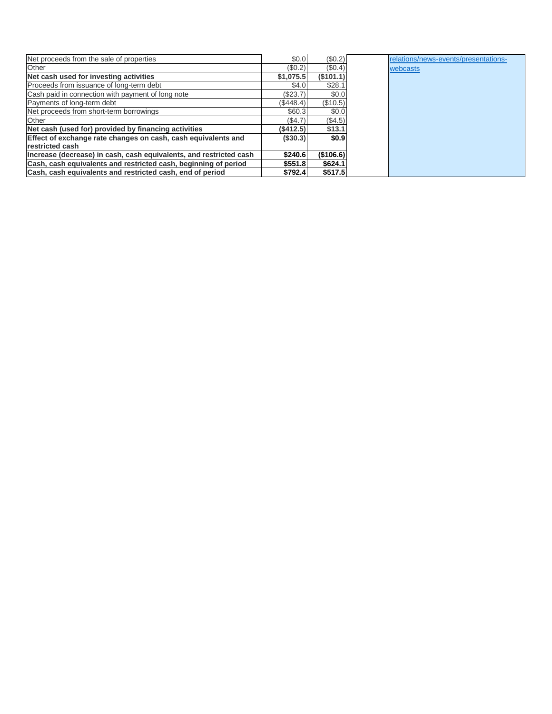| Net proceeds from the sale of properties                           | \$0.0     | (\$0.2)   |
|--------------------------------------------------------------------|-----------|-----------|
| Other                                                              | (\$0.2)   | (\$0.4)   |
| Net cash used for investing activities                             | \$1,075.5 | (S101.1)  |
| Proceeds from issuance of long-term debt                           | \$4.0     | \$28.1    |
| Cash paid in connection with payment of long note                  | (S23.7)   | \$0.0     |
| Payments of long-term debt                                         | (\$448.4) | (\$10.5)  |
| Net proceeds from short-term borrowings                            | \$60.3    | \$0.0     |
| Other                                                              | (S4.7)    | (\$4.5)   |
| Net cash (used for) provided by financing activities               | (\$412.5) | \$13.1    |
| Effect of exchange rate changes on cash, cash equivalents and      | (\$30.3)  | \$0.9     |
| restricted cash                                                    |           |           |
| Increase (decrease) in cash, cash equivalents, and restricted cash | \$240.6   | (\$106.6) |
| Cash, cash equivalents and restricted cash, beginning of period    | \$551.8   | \$624.1   |
| Cash, cash equivalents and restricted cash, end of period          | \$792.4   | \$517.5   |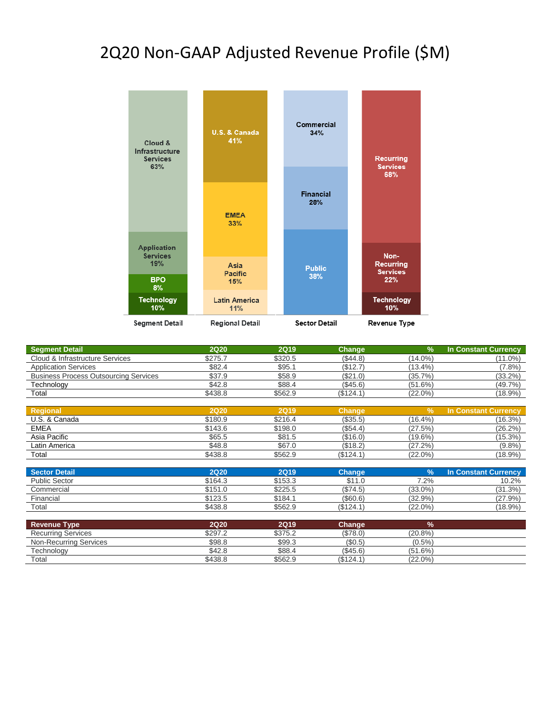# 2Q20 Non-GAAP Adjusted Revenue Profile (\$M)



| <b>Segment Detail</b>                        | <b>2Q20</b> | <b>2Q19</b> | Change        | $\frac{9}{6}$ | <b>In Constant Currency</b> |
|----------------------------------------------|-------------|-------------|---------------|---------------|-----------------------------|
| Cloud & Infrastructure Services              | \$275.7     | \$320.5     | (\$44.8)      | $(14.0\%)$    | $(11.0\%)$                  |
| <b>Application Services</b>                  | \$82.4      | \$95.1      | (\$12.7)      | $(13.4\%)$    | $(7.8\%)$                   |
| <b>Business Process Outsourcing Services</b> | \$37.9      | \$58.9      | (\$21.0)      | (35.7%)       | $(33.2\%)$                  |
| Technology                                   | \$42.8      | \$88.4      | (\$45.6)      | $(51.6\%)$    | (49.7%)                     |
| Total                                        | \$438.8     | \$562.9     | (\$124.1)     | $(22.0\%)$    | (18.9%)                     |
|                                              |             |             |               |               |                             |
| <b>Regional</b>                              | <b>2Q20</b> | <b>2Q19</b> | <b>Change</b> | $\frac{9}{6}$ | <b>In Constant Currency</b> |
| U.S. & Canada                                | \$180.9     | \$216.4     | (\$35.5)      | $(16.4\%)$    | (16.3%)                     |
| <b>EMEA</b>                                  | \$143.6     | \$198.0     | (\$54.4)      | (27.5%)       | (26.2%)                     |
| Asia Pacific                                 | \$65.5      | \$81.5      | (\$16.0)      | (19.6%)       | (15.3%)                     |
| Latin America                                | \$48.8      | \$67.0      | (\$18.2)      | (27.2%)       | $(9.8\%)$                   |
| Total                                        | \$438.8     | \$562.9     | (\$124.1)     | $(22.0\%)$    | (18.9%)                     |
|                                              |             |             |               |               |                             |
|                                              |             |             |               |               |                             |

| Sector Detail        | <b>2Q20</b> | 2Q19    | <b>Change</b> |            | In Constant Currency |
|----------------------|-------------|---------|---------------|------------|----------------------|
| <b>Public Sector</b> | \$164.3     | \$153.3 | \$11.0        | $7.2\%$    | 10.2%                |
| Commercial           | \$151.0     | \$225.5 | (\$74.5)      | $(33.0\%)$ | (31.3%               |
| Financial            | \$123.5     | \$184.7 | (\$60.6)      | (32.9%)    | (27.9%               |
| Total                | \$438.8     | \$562.9 | (\$124.1      | $(22.0\%)$ | $(18.9\%)$           |

| <b>Revenue Type</b>       | 2Q20    | <b>2Q19</b> | Change    | $\mathbf{O}/$ |  |
|---------------------------|---------|-------------|-----------|---------------|--|
| <b>Recurring Services</b> | \$297.2 | \$375.2     | (\$78.0)  | $(20.8\%)$    |  |
| Non-Recurring Services    | \$98.8  | \$99.3      | (S0.5)    | (0.5%         |  |
| Technology                | \$42.8  | \$88.4      | (\$45.6)  | (51.6%)       |  |
| Total                     | \$438.8 | \$562.9     | (\$124.1" | $(22.0\%)$    |  |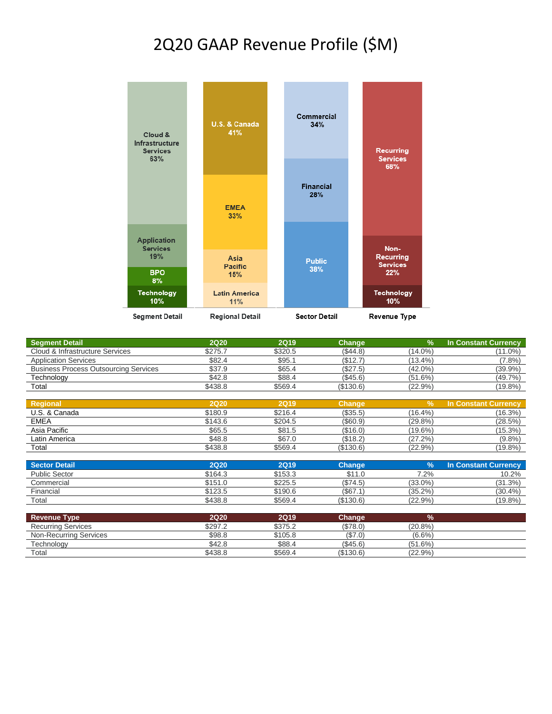# 2Q20 GAAP Revenue Profile (\$M)



| Segment Detail                               | <b>2Q20</b> | <b>2Q19</b> | Change    | $\frac{9}{6}$ | <b>In Constant Currency</b> |
|----------------------------------------------|-------------|-------------|-----------|---------------|-----------------------------|
| Cloud & Infrastructure Services              | \$275.7     | \$320.5     | (\$44.8)  | $(14.0\%)$    | $(11.0\%)$                  |
| <b>Application Services</b>                  | \$82.4      | \$95.1      | (\$12.7)  | (13.4%)       | $(7.8\%)$                   |
| <b>Business Process Outsourcing Services</b> | \$37.9      | \$65.4      | (\$27.5)  | $(42.0\%)$    | (39.9%                      |
| Technology                                   | \$42.8      | \$88.4      | (S45.6)   | $(51.6\%)$    | (49.7%)                     |
| Total                                        | \$438.8     | \$569.4     | (\$130.6) | (22.9%)       | $(19.8\%)$                  |
|                                              |             |             |           |               |                             |

| Regional      | <b>2Q20</b> | <b>2Q19</b> | <b>Change</b> |            | <b>In Constant Currency</b> |
|---------------|-------------|-------------|---------------|------------|-----------------------------|
| U.S. & Canada | \$180.9     | \$216.4     | (\$35.5)      | $(16.4\%)$ | (16.3%)                     |
| <b>EMEA</b>   | \$143.6     | \$204.5     | (\$60.9)      | $(29.8\%)$ | (28.5%)                     |
| Asia Pacific  | \$65.5      | \$81.5      | (\$16.0)      | $(19.6\%)$ | $(15.3\%)$                  |
| Latin America | \$48.8      | \$67.0      | (\$18.2)      | (27.2%)    | $(9.8\%)$                   |
| Total         | \$438.8     | \$569.4     | (\$130.6)     | (22.9%)    | $(19.8\%)$                  |

| Sector Detail        | <b>2Q20</b> | <b>2Q19</b> | Change     | 70         | <b>In Constant Currency</b> |
|----------------------|-------------|-------------|------------|------------|-----------------------------|
| <b>Public Sector</b> | \$164.3     | \$153.3     | \$11.0     | $7.2\%$    | 10.2%                       |
| Commercial           | \$151.0     | \$225.5     | $(\$74.5)$ | $(33.0\%)$ | (31.3%)                     |
| Financial            | \$123.5     | \$190.6     | (\$67.1    | $(35.2\%)$ | $(30.4\%)$                  |
| Total                | \$438.8     | \$569.4     | (\$130.6)  | (22.9%)    | $(19.8\%)$                  |

| <b>Revenue Type</b>       | 2Q20    | <b>2Q19</b> | Change    |            |
|---------------------------|---------|-------------|-----------|------------|
| <b>Recurring Services</b> | \$297.2 | \$375.2     | (\$78.0)  | $(20.8\%)$ |
| Non-Recurring Services    | \$98.8  | \$105.8     | (\$7.0)   | $(6.6\%)$  |
| Technology                | \$42.8  | \$88.4      | (\$45.6)  | (51.6%)    |
| Total                     | \$438.8 | \$569.4     | (\$130.6) | (22.9%)    |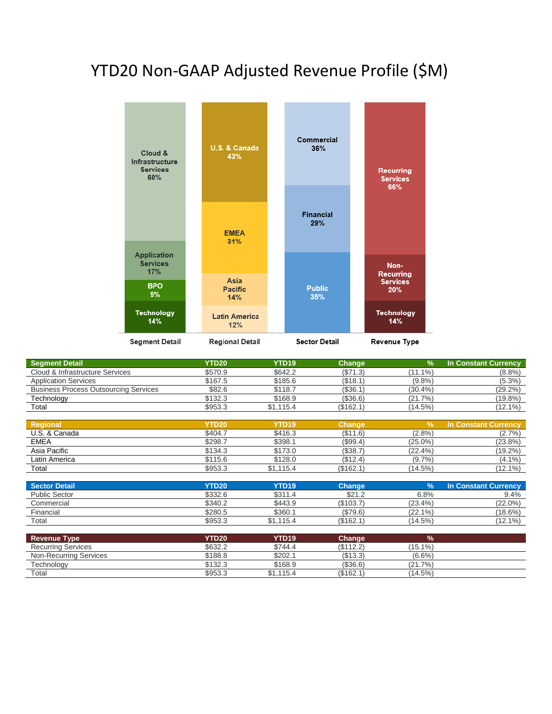#### YTD20 Non-GAAP Adjusted Revenue Profile (\$M)



| <b>Segment Detail</b>                        | <b>YTD20</b>                             | YTD <sub>19</sub> | <b>Change</b> | $\frac{9}{6}$ | <b>In Constant Currency</b> |
|----------------------------------------------|------------------------------------------|-------------------|---------------|---------------|-----------------------------|
| Cloud & Infrastructure Services              | \$570.9                                  | \$642.2           | (\$71.3)      | $(11.1\%)$    | $(8.8\%)$                   |
| <b>Application Services</b>                  | \$167.5                                  | \$185.6           | (\$18.1)      | $(9.8\%)$     | $(5.3\%)$                   |
| <b>Business Process Outsourcing Services</b> | \$82.6                                   | \$118.7           | (\$36.1)      | $(30.4\%)$    | $(29.2\%)$                  |
| Technology                                   | \$132.3                                  | \$168.9           | (\$36.6)      | (21.7%)       | $(19.8\%)$                  |
| Total                                        | \$953.3                                  | \$1.115.4         | (\$162.1)     | (14.5%)       | $(12.1\%)$                  |
|                                              |                                          |                   |               |               |                             |
| Regional                                     | <b>YTD20</b>                             | YTD <sub>19</sub> | <b>Change</b> |               | In Constant Currency        |
| U.S. & Canada                                | \$404.7                                  | \$416.3           | (\$11.6)      | $(2.8\%)$     | (2.7%                       |
| $-0.000$                                     | $\wedge$ $\wedge$ $\wedge$ $\rightarrow$ | $\wedge$          | (0.001)       | (0.5.01)      | (0.0.001)                   |

| <b>EMEA</b>   | \$298.7 | \$398.       | (\$99.4)           | $(25.0\%)$  | (23.8%     |
|---------------|---------|--------------|--------------------|-------------|------------|
| Asia Pacific  | \$134.3 | \$173.0      | \$38.7             | (22.4%      | (19.2%     |
| Latin America | \$115.6 | \$128.0      | (0.40A<br>2.4 ا 10 | 7%.<br>(9.7 | (4.1%      |
| Total         | \$953.3 | 115.4<br>۰υ. | (\$162.1           | (14.5%)     | $(12.1\%)$ |

| Sector Detail        | <b>YTD20</b> | <b>YTD19</b>  | Change   |            | In Constant Currency |
|----------------------|--------------|---------------|----------|------------|----------------------|
| <b>Public Sector</b> | \$332.6      | \$311.4       | \$21.2   | 6.8%       | 9.4%                 |
| Commercial           | \$340.2      | \$443.9       | (\$103.7 | $(23.4\%)$ | $(22.0\%)$           |
| Financial            | \$280.5      | \$360.1       | (\$79.6) | $(22.1\%)$ | $(18.6\%)$           |
| Total                | \$953.3      | .115.4<br>\$1 | (\$162.1 | $(14.5\%)$ | $(12.1\%)$           |

| <b>YTD20</b> | <b>YTD19</b> | Change    | $\frac{9}{6}$ |
|--------------|--------------|-----------|---------------|
| \$632.2      | \$744.4      | (\$112.2) | $(15.1\%)$    |
| \$188.8      | \$202.7      | (\$13.3)  | $(6.6\%)$     |
| \$132.3      | \$168.9      | (\$36.6)  | (21.7%)       |
| \$953.3      | \$1.115.4    | (\$162.1  | $(14.5\%)$    |
|              |              |           |               |